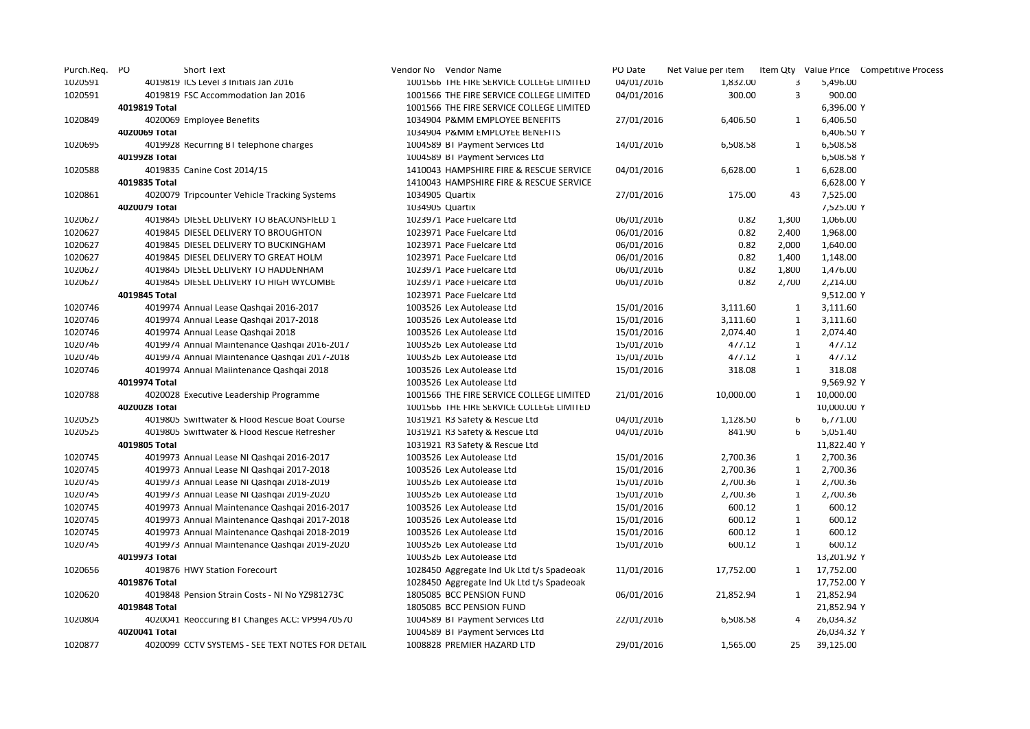| Purch.Req. | PO | <b>Short Text</b>                                |                 | Vendor No Vendor Name                     | PO Date    | Net Value per item |              |             | Item Qty Value Price Competitive Process |
|------------|----|--------------------------------------------------|-----------------|-------------------------------------------|------------|--------------------|--------------|-------------|------------------------------------------|
| 1020591    |    | 4019819 ICS Level 3 Initials Jan 2016            |                 | 1001566 THE FIRE SERVICE COLLEGE LIMITED  | 04/01/2016 | 1,832.00           | 3            | 5,496.00    |                                          |
| 1020591    |    | 4019819 FSC Accommodation Jan 2016               |                 | 1001566 THE FIRE SERVICE COLLEGE LIMITED  | 04/01/2016 | 300.00             | 3            | 900.00      |                                          |
|            |    | 4019819 Total                                    |                 | 1001566 THE FIRE SERVICE COLLEGE LIMITED  |            |                    |              | 6,396.00 Y  |                                          |
| 1020849    |    | 4020069 Employee Benefits                        |                 | 1034904 P&MM EMPLOYEE BENEFITS            | 27/01/2016 | 6,406.50           | 1            | 6,406.50    |                                          |
|            |    | 4020069 Total                                    |                 | 1034904 P&MM EMPLOYEE BENEFITS            |            |                    |              | 6,406.50 Y  |                                          |
| 1020695    |    | 4019928 Recurring BT telephone charges           |                 | 1004589 BT Payment Services Ltd           | 14/01/2016 | 6,508.58           | 1            | 6,508.58    |                                          |
|            |    | 4019928 Total                                    |                 | 1004589 BT Payment Services Ltd           |            |                    |              | 6,508.58 Y  |                                          |
| 1020588    |    | 4019835 Canine Cost 2014/15                      |                 | 1410043 HAMPSHIRE FIRE & RESCUE SERVICE   | 04/01/2016 | 6,628.00           | 1            | 6,628.00    |                                          |
|            |    | 4019835 Total                                    |                 | 1410043 HAMPSHIRE FIRE & RESCUE SERVICE   |            |                    |              | 6,628.00 Y  |                                          |
| 1020861    |    | 4020079 Tripcounter Vehicle Tracking Systems     | 1034905 Quartix |                                           | 27/01/2016 | 175.00             | 43           | 7,525.00    |                                          |
|            |    | 4020079 Total                                    | 1034905 Quartix |                                           |            |                    |              | 7,525.00 Y  |                                          |
| 1020627    |    | 4019845 DIESEL DELIVERY TO BEACONSFIELD 1        |                 | 1023971 Pace Fuelcare Ltd                 | 06/01/2016 | 0.82               | 1,300        | 1,066.00    |                                          |
| 1020627    |    | 4019845 DIESEL DELIVERY TO BROUGHTON             |                 | 1023971 Pace Fuelcare Ltd                 | 06/01/2016 | 0.82               | 2,400        | 1,968.00    |                                          |
| 1020627    |    | 4019845 DIESEL DELIVERY TO BUCKINGHAM            |                 | 1023971 Pace Fuelcare Ltd                 | 06/01/2016 | 0.82               | 2,000        | 1,640.00    |                                          |
| 1020627    |    | 4019845 DIESEL DELIVERY TO GREAT HOLM            |                 | 1023971 Pace Fuelcare Ltd                 | 06/01/2016 | 0.82               | 1,400        | 1,148.00    |                                          |
| 1020627    |    | 4019845 DIESEL DELIVERY TO HADDENHAM             |                 | 1023971 Pace Fuelcare Ltd                 | 06/01/2016 | 0.82               | 1,800        | 1,476.00    |                                          |
| 1020627    |    | 4019845 DIESEL DELIVERY TO HIGH WYCOMBE          |                 | 1023971 Pace Fuelcare Ltd                 | 06/01/2016 | 0.82               | 2,700        | 2,214.00    |                                          |
|            |    | 4019845 Total                                    |                 | 1023971 Pace Fuelcare Ltd                 |            |                    |              | 9,512.00 Y  |                                          |
| 1020746    |    | 4019974 Annual Lease Qashqai 2016-2017           |                 | 1003526 Lex Autolease Ltd                 | 15/01/2016 | 3,111.60           | $\mathbf{1}$ | 3,111.60    |                                          |
| 1020746    |    | 4019974 Annual Lease Qashqai 2017-2018           |                 | 1003526 Lex Autolease Ltd                 | 15/01/2016 | 3,111.60           | $\mathbf{1}$ | 3,111.60    |                                          |
| 1020746    |    | 4019974 Annual Lease Qashqai 2018                |                 | 1003526 Lex Autolease Ltd                 | 15/01/2016 | 2,074.40           | $\mathbf{1}$ | 2,074.40    |                                          |
| 1020746    |    | 4019974 Annual Maintenance Qashqai 2016-2017     |                 | 1003526 Lex Autolease Ltd                 | 15/01/2016 | 477.12             | $\mathbf{1}$ | 477.12      |                                          |
| 1020746    |    | 4019974 Annual Maintenance Qashqai 2017-2018     |                 | 1003526 Lex Autolease Ltd                 | 15/01/2016 | 477.12             | $\mathbf{1}$ | 477.12      |                                          |
| 1020746    |    | 4019974 Annual Maiintenance Qashqai 2018         |                 | 1003526 Lex Autolease Ltd                 | 15/01/2016 | 318.08             | 1            | 318.08      |                                          |
|            |    | 4019974 Total                                    |                 | 1003526 Lex Autolease Ltd                 |            |                    |              | 9,569.92 Y  |                                          |
| 1020788    |    | 4020028 Executive Leadership Programme           |                 | 1001566 THE FIRE SERVICE COLLEGE LIMITED  | 21/01/2016 | 10,000.00          | 1            | 10,000.00   |                                          |
|            |    | 4020028 Total                                    |                 | 1001566 THE FIRE SERVICE COLLEGE LIMITED  |            |                    |              | 10,000.00 Y |                                          |
| 1020525    |    | 4019805 Swiftwater & Flood Rescue Boat Course    |                 | 1031921 R3 Satety & Rescue Ltd            | 04/01/2016 | 1,128.50           | 6            | 6,771.00    |                                          |
| 1020525    |    | 4019805 Swittwater & Flood Rescue Retresher      |                 | 1031921 R3 Safety & Rescue Ltd            | 04/01/2016 | 841.90             | 6            | 5,051.40    |                                          |
|            |    | 4019805 Total                                    |                 | 1031921 R3 Safety & Rescue Ltd            |            |                    |              | 11,822.40 Y |                                          |
| 1020745    |    | 4019973 Annual Lease NI Qashqai 2016-2017        |                 | 1003526 Lex Autolease Ltd                 | 15/01/2016 | 2,700.36           | 1            | 2,700.36    |                                          |
| 1020745    |    | 4019973 Annual Lease NI Qashqai 2017-2018        |                 | 1003526 Lex Autolease Ltd                 | 15/01/2016 | 2,700.36           | $\mathbf{1}$ | 2,700.36    |                                          |
| 1020745    |    | 4019973 Annual Lease NI Qashqai 2018-2019        |                 | 1003526 Lex Autolease Ltd                 | 15/01/2016 | 2,700.36           | $\mathbf{1}$ | 2,700.36    |                                          |
| 1020745    |    | 4019973 Annual Lease NI Qashqai 2019-2020        |                 | 1003526 Lex Autolease Ltd                 | 15/01/2016 | 2,700.36           | $\mathbf{1}$ | 2,700.36    |                                          |
| 1020745    |    | 4019973 Annual Maintenance Qashqai 2016-2017     |                 | 1003526 Lex Autolease Ltd                 | 15/01/2016 | 600.12             | $\mathbf{1}$ | 600.12      |                                          |
| 1020745    |    | 4019973 Annual Maintenance Qashqai 2017-2018     |                 | 1003526 Lex Autolease Ltd                 | 15/01/2016 | 600.12             | $\mathbf{1}$ | 600.12      |                                          |
| 1020745    |    | 4019973 Annual Maintenance Qashqai 2018-2019     |                 | 1003526 Lex Autolease Ltd                 | 15/01/2016 | 600.12             | $\mathbf{1}$ | 600.12      |                                          |
| 1020745    |    | 4019973 Annual Maintenance Qashqai 2019-2020     |                 | 1003526 Lex Autolease Ltd                 | 15/01/2016 | 600.12             | $\mathbf{1}$ | 600.12      |                                          |
|            |    | 4019973 Total                                    |                 | 1003526 Lex Autolease Ltd                 |            |                    |              | 13,201.92 Y |                                          |
| 1020656    |    | 4019876 HWY Station Forecourt                    |                 | 1028450 Aggregate Ind Uk Ltd t/s Spadeoak | 11/01/2016 | 17,752.00          |              | 1 17,752.00 |                                          |
|            |    | 4019876 Total                                    |                 | 1028450 Aggregate Ind Uk Ltd t/s Spadeoak |            |                    |              | 17,752.00 Y |                                          |
| 1020620    |    | 4019848 Pension Strain Costs - NI No YZ981273C   |                 | 1805085 BCC PENSION FUND                  | 06/01/2016 | 21,852.94          | 1            | 21,852.94   |                                          |
|            |    | 4019848 Total                                    |                 | 1805085 BCC PENSION FUND                  |            |                    |              | 21,852.94 Y |                                          |
| 1020804    |    | 4020041 Reoccuring BT Changes ACC: VP99470570    |                 | 1004589 BT Payment Services Ltd           | 22/01/2016 | 6,508.58           | 4            | 26,034.32   |                                          |
|            |    | 4020041 Total                                    |                 | 1004589 BT Payment Services Ltd           |            |                    |              | 26,034.32 Y |                                          |
| 1020877    |    | 4020099 CCTV SYSTEMS - SEE TEXT NOTES FOR DETAIL |                 | 1008828 PREMIER HAZARD LTD                | 29/01/2016 | 1,565.00           | 25           | 39,125.00   |                                          |